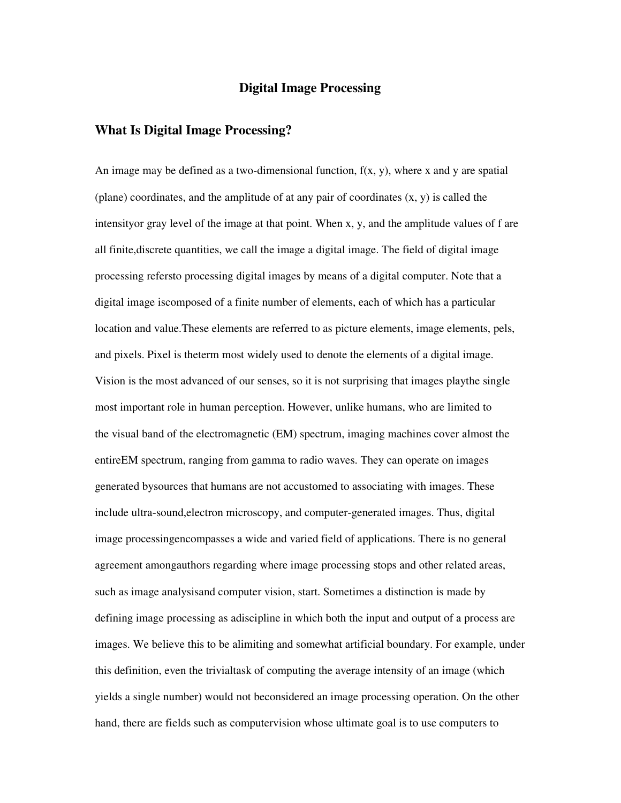### **Digital Image Processing**

## **What Is Digital Image Processing?**

An image may be defined as a two-dimensional function,  $f(x, y)$ , where x and y are spatial (plane) coordinates, and the amplitude of at any pair of coordinates  $(x, y)$  is called the intensityor gray level of the image at that point. When x, y, and the amplitude values of f are all finite,discrete quantities, we call the image a digital image. The field of digital image processing refersto processing digital images by means of a digital computer. Note that a digital image iscomposed of a finite number of elements, each of which has a particular location and value.These elements are referred to as picture elements, image elements, pels, and pixels. Pixel is theterm most widely used to denote the elements of a digital image. Vision is the most advanced of our senses, so it is not surprising that images playthe single most important role in human perception. However, unlike humans, who are limited to the visual band of the electromagnetic (EM) spectrum, imaging machines cover almost the entireEM spectrum, ranging from gamma to radio waves. They can operate on images generated bysources that humans are not accustomed to associating with images. These include ultra-sound,electron microscopy, and computer-generated images. Thus, digital image processingencompasses a wide and varied field of applications. There is no general agreement amongauthors regarding where image processing stops and other related areas, such as image analysisand computer vision, start. Sometimes a distinction is made by defining image processing as adiscipline in which both the input and output of a process are images. We believe this to be alimiting and somewhat artificial boundary. For example, under this definition, even the trivialtask of computing the average intensity of an image (which yields a single number) would not beconsidered an image processing operation. On the other hand, there are fields such as computervision whose ultimate goal is to use computers to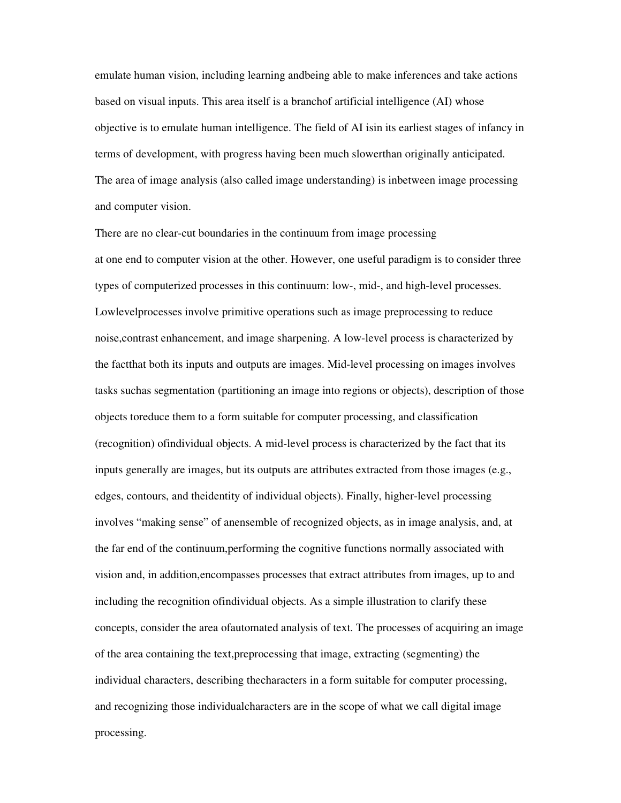emulate human vision, including learning andbeing able to make inferences and take actions based on visual inputs. This area itself is a branchof artificial intelligence (AI) whose objective is to emulate human intelligence. The field of AI isin its earliest stages of infancy in terms of development, with progress having been much slowerthan originally anticipated. The area of image analysis (also called image understanding) is inbetween image processing and computer vision.

There are no clear-cut boundaries in the continuum from image processing at one end to computer vision at the other. However, one useful paradigm is to consider three types of computerized processes in this continuum: low-, mid-, and high-level processes. Lowlevelprocesses involve primitive operations such as image preprocessing to reduce noise,contrast enhancement, and image sharpening. A low-level process is characterized by the factthat both its inputs and outputs are images. Mid-level processing on images involves tasks suchas segmentation (partitioning an image into regions or objects), description of those objects toreduce them to a form suitable for computer processing, and classification (recognition) ofindividual objects. A mid-level process is characterized by the fact that its inputs generally are images, but its outputs are attributes extracted from those images (e.g., edges, contours, and theidentity of individual objects). Finally, higher-level processing involves "making sense" of anensemble of recognized objects, as in image analysis, and, at the far end of the continuum,performing the cognitive functions normally associated with vision and, in addition,encompasses processes that extract attributes from images, up to and including the recognition ofindividual objects. As a simple illustration to clarify these concepts, consider the area ofautomated analysis of text. The processes of acquiring an image of the area containing the text,preprocessing that image, extracting (segmenting) the individual characters, describing thecharacters in a form suitable for computer processing, and recognizing those individualcharacters are in the scope of what we call digital image processing.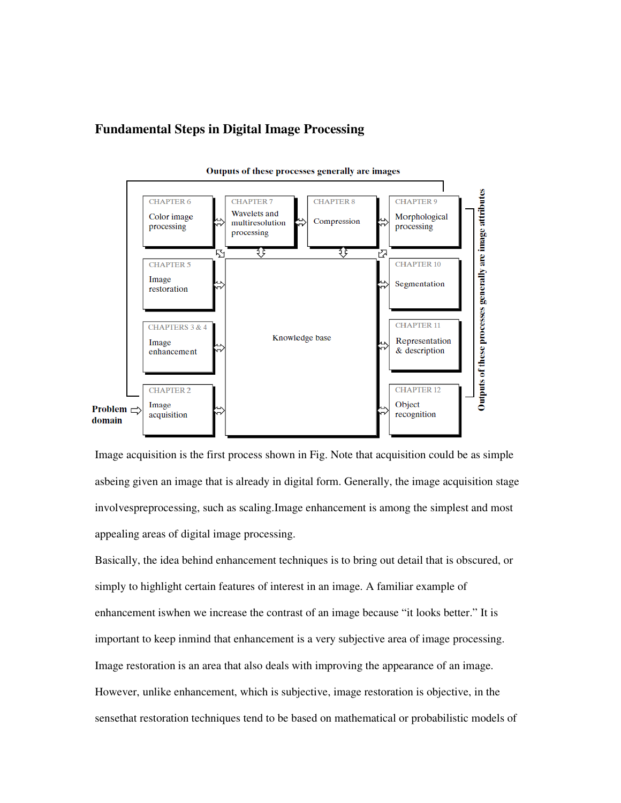# **Fundamental Steps in Digital Image Processing**



Outputs of these processes generally are images

Image acquisition is the first process shown in Fig. Note that acquisition could be as simple asbeing given an image that is already in digital form. Generally, the image acquisition stage involvespreprocessing, such as scaling.Image enhancement is among the simplest and most appealing areas of digital image processing.

Basically, the idea behind enhancement techniques is to bring out detail that is obscured, or simply to highlight certain features of interest in an image. A familiar example of enhancement iswhen we increase the contrast of an image because "it looks better." It is important to keep inmind that enhancement is a very subjective area of image processing. Image restoration is an area that also deals with improving the appearance of an image. However, unlike enhancement, which is subjective, image restoration is objective, in the sensethat restoration techniques tend to be based on mathematical or probabilistic models of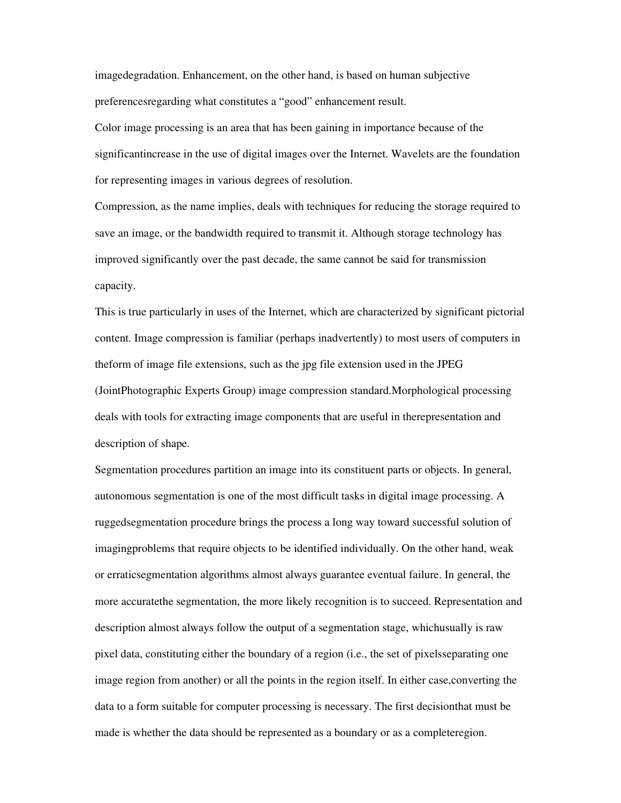imagedegradation. Enhancement, on the other hand, is based on human subjective preferencesregarding what constitutes a "good" enhancement result.

Color image processing is an area that has been gaining in importance because of the significantincrease in the use of digital images over the Internet. Wavelets are the foundation for representing images in various degrees of resolution.

Compression, as the name implies, deals with techniques for reducing the storage required to save an image, or the bandwidth required to transmit it. Although storage technology has improved significantly over the past decade, the same cannot be said for transmission capacity.

This is true particularly in uses of the Internet, which are characterized by significant pictorial content. Image compression is familiar (perhaps inadvertently) to most users of computers in theform of image file extensions, such as the jpg file extension used in the JPEG (JointPhotographic Experts Group) image compression standard.Morphological processing deals with tools for extracting image components that are useful in therepresentation and description of shape.

Segmentation procedures partition an image into its constituent parts or objects. In general, autonomous segmentation is one of the most difficult tasks in digital image processing. A ruggedsegmentation procedure brings the process a long way toward successful solution of imagingproblems that require objects to be identified individually. On the other hand, weak or erraticsegmentation algorithms almost always guarantee eventual failure. In general, the more accuratethe segmentation, the more likely recognition is to succeed. Representation and description almost always follow the output of a segmentation stage, whichusually is raw pixel data, constituting either the boundary of a region (i.e., the set of pixelsseparating one image region from another) or all the points in the region itself. In either case,converting the data to a form suitable for computer processing is necessary. The first decisionthat must be made is whether the data should be represented as a boundary or as a completeregion.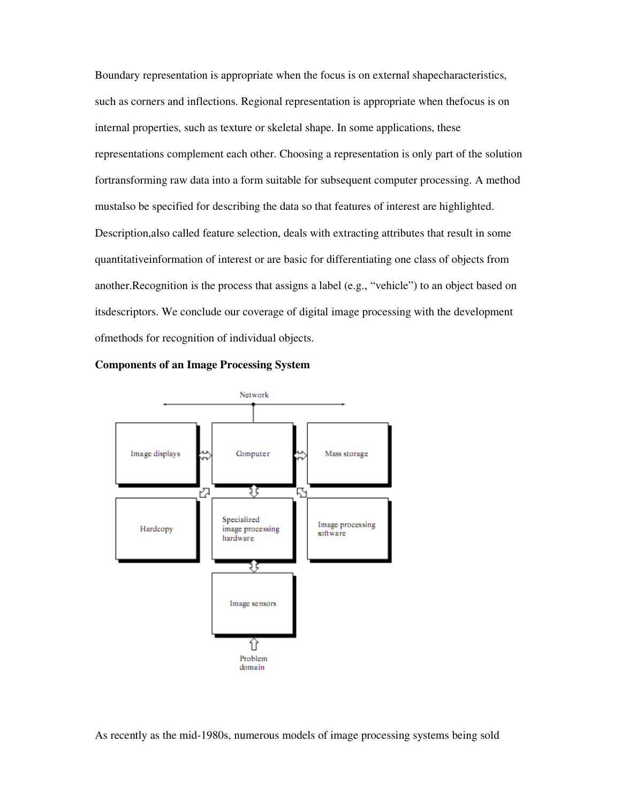Boundary representation is appropriate when the focus is on external shapecharacteristics, such as corners and inflections. Regional representation is appropriate when thefocus is on internal properties, such as texture or skeletal shape. In some applications, these representations complement each other. Choosing a representation is only part of the solution fortransforming raw data into a form suitable for subsequent computer processing. A method mustalso be specified for describing the data so that features of interest are highlighted. Description,also called feature selection, deals with extracting attributes that result in some quantitativeinformation of interest or are basic for differentiating one class of objects from another.Recognition is the process that assigns a label (e.g., "vehicle") to an object based on itsdescriptors. We conclude our coverage of digital image processing with the development ofmethods for recognition of individual objects.



**Components of an Image Processing System** 

As recently as the mid-1980s, numerous models of image processing systems being sold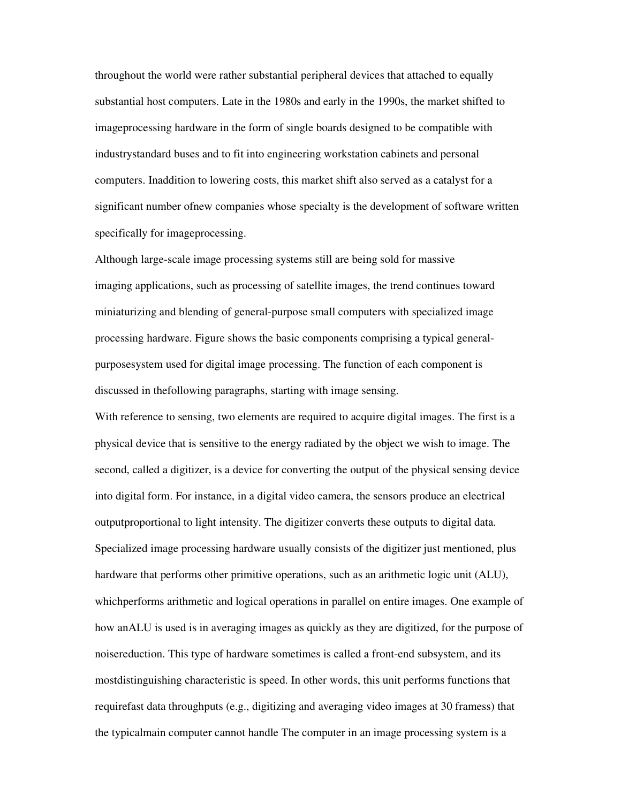throughout the world were rather substantial peripheral devices that attached to equally substantial host computers. Late in the 1980s and early in the 1990s, the market shifted to imageprocessing hardware in the form of single boards designed to be compatible with industrystandard buses and to fit into engineering workstation cabinets and personal computers. Inaddition to lowering costs, this market shift also served as a catalyst for a significant number ofnew companies whose specialty is the development of software written specifically for imageprocessing.

Although large-scale image processing systems still are being sold for massive imaging applications, such as processing of satellite images, the trend continues toward miniaturizing and blending of general-purpose small computers with specialized image processing hardware. Figure shows the basic components comprising a typical generalpurposesystem used for digital image processing. The function of each component is discussed in thefollowing paragraphs, starting with image sensing.

With reference to sensing, two elements are required to acquire digital images. The first is a physical device that is sensitive to the energy radiated by the object we wish to image. The second, called a digitizer, is a device for converting the output of the physical sensing device into digital form. For instance, in a digital video camera, the sensors produce an electrical outputproportional to light intensity. The digitizer converts these outputs to digital data. Specialized image processing hardware usually consists of the digitizer just mentioned, plus hardware that performs other primitive operations, such as an arithmetic logic unit (ALU), whichperforms arithmetic and logical operations in parallel on entire images. One example of how anALU is used is in averaging images as quickly as they are digitized, for the purpose of noisereduction. This type of hardware sometimes is called a front-end subsystem, and its mostdistinguishing characteristic is speed. In other words, this unit performs functions that requirefast data throughputs (e.g., digitizing and averaging video images at 30 framess) that the typicalmain computer cannot handle The computer in an image processing system is a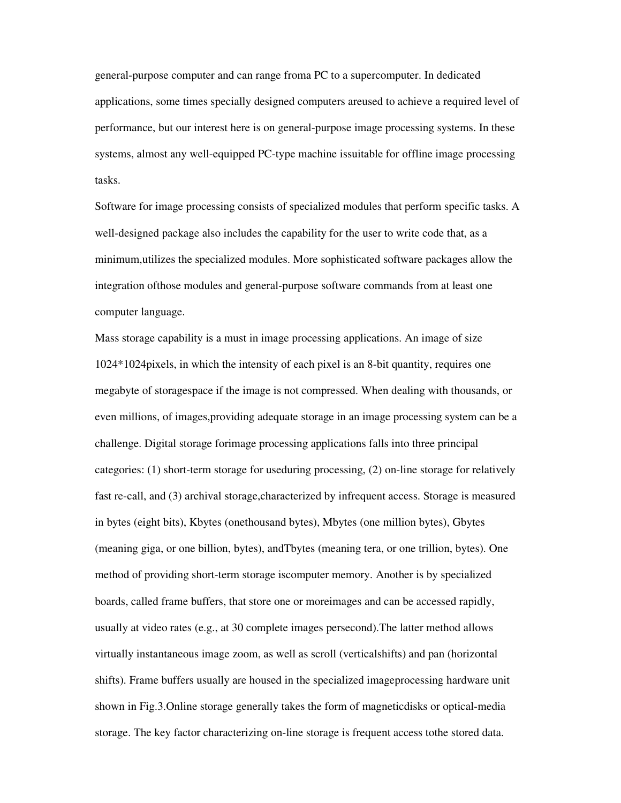general-purpose computer and can range froma PC to a supercomputer. In dedicated applications, some times specially designed computers areused to achieve a required level of performance, but our interest here is on general-purpose image processing systems. In these systems, almost any well-equipped PC-type machine issuitable for offline image processing tasks.

Software for image processing consists of specialized modules that perform specific tasks. A well-designed package also includes the capability for the user to write code that, as a minimum,utilizes the specialized modules. More sophisticated software packages allow the integration ofthose modules and general-purpose software commands from at least one computer language.

Mass storage capability is a must in image processing applications. An image of size 1024\*1024pixels, in which the intensity of each pixel is an 8-bit quantity, requires one megabyte of storagespace if the image is not compressed. When dealing with thousands, or even millions, of images,providing adequate storage in an image processing system can be a challenge. Digital storage forimage processing applications falls into three principal categories: (1) short-term storage for useduring processing, (2) on-line storage for relatively fast re-call, and (3) archival storage,characterized by infrequent access. Storage is measured in bytes (eight bits), Kbytes (onethousand bytes), Mbytes (one million bytes), Gbytes (meaning giga, or one billion, bytes), andTbytes (meaning tera, or one trillion, bytes). One method of providing short-term storage iscomputer memory. Another is by specialized boards, called frame buffers, that store one or moreimages and can be accessed rapidly, usually at video rates (e.g., at 30 complete images persecond).The latter method allows virtually instantaneous image zoom, as well as scroll (verticalshifts) and pan (horizontal shifts). Frame buffers usually are housed in the specialized imageprocessing hardware unit shown in Fig.3.Online storage generally takes the form of magneticdisks or optical-media storage. The key factor characterizing on-line storage is frequent access tothe stored data.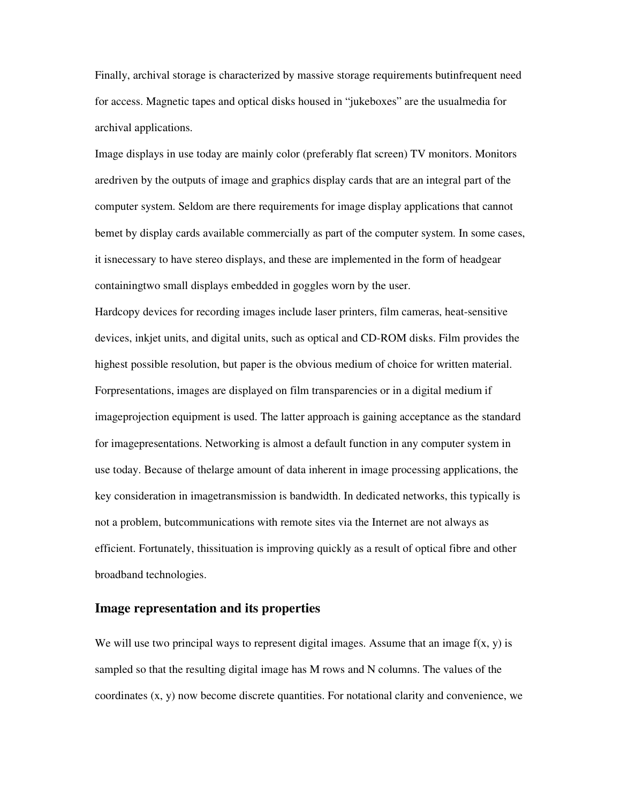Finally, archival storage is characterized by massive storage requirements butinfrequent need for access. Magnetic tapes and optical disks housed in "jukeboxes" are the usualmedia for archival applications.

Image displays in use today are mainly color (preferably flat screen) TV monitors. Monitors aredriven by the outputs of image and graphics display cards that are an integral part of the computer system. Seldom are there requirements for image display applications that cannot bemet by display cards available commercially as part of the computer system. In some cases, it isnecessary to have stereo displays, and these are implemented in the form of headgear containingtwo small displays embedded in goggles worn by the user.

Hardcopy devices for recording images include laser printers, film cameras, heat-sensitive devices, inkjet units, and digital units, such as optical and CD-ROM disks. Film provides the highest possible resolution, but paper is the obvious medium of choice for written material. Forpresentations, images are displayed on film transparencies or in a digital medium if imageprojection equipment is used. The latter approach is gaining acceptance as the standard for imagepresentations. Networking is almost a default function in any computer system in use today. Because of thelarge amount of data inherent in image processing applications, the key consideration in imagetransmission is bandwidth. In dedicated networks, this typically is not a problem, butcommunications with remote sites via the Internet are not always as efficient. Fortunately, thissituation is improving quickly as a result of optical fibre and other broadband technologies.

### **Image representation and its properties**

We will use two principal ways to represent digital images. Assume that an image  $f(x, y)$  is sampled so that the resulting digital image has M rows and N columns. The values of the coordinates (x, y) now become discrete quantities. For notational clarity and convenience, we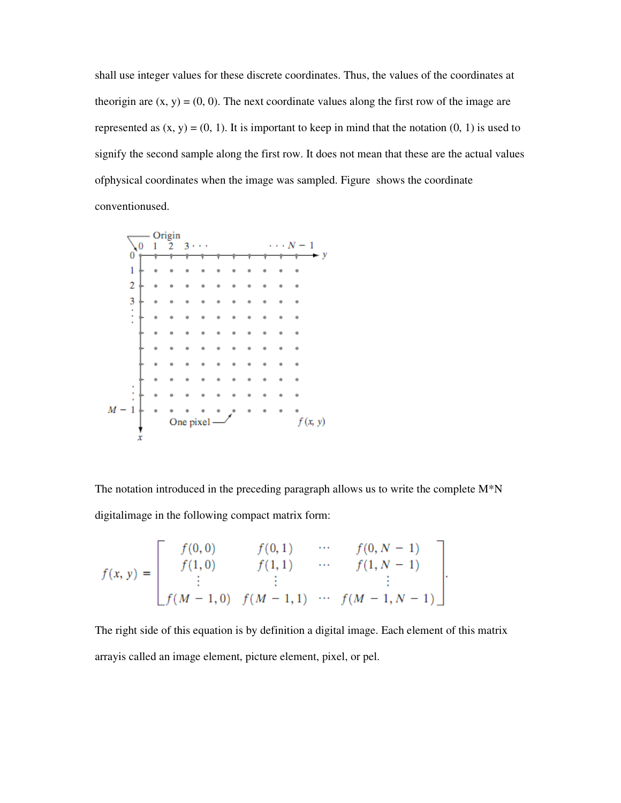shall use integer values for these discrete coordinates. Thus, the values of the coordinates at theorigin are  $(x, y) = (0, 0)$ . The next coordinate values along the first row of the image are represented as  $(x, y) = (0, 1)$ . It is important to keep in mind that the notation  $(0, 1)$  is used to signify the second sample along the first row. It does not mean that these are the actual values ofphysical coordinates when the image was sampled. Figure shows the coordinate conventionused.



The notation introduced in the preceding paragraph allows us to write the complete  $M^*N$ digitalimage in the following compact matrix form:

$$
f(x, y) = \begin{bmatrix} f(0, 0) & f(0, 1) & \cdots & f(0, N - 1) \\ f(1, 0) & f(1, 1) & \cdots & f(1, N - 1) \\ \vdots & \vdots & & \vdots \\ f(M - 1, 0) & f(M - 1, 1) & \cdots & f(M - 1, N - 1) \end{bmatrix}.
$$

The right side of this equation is by definition a digital image. Each element of this matrix arrayis called an image element, picture element, pixel, or pel.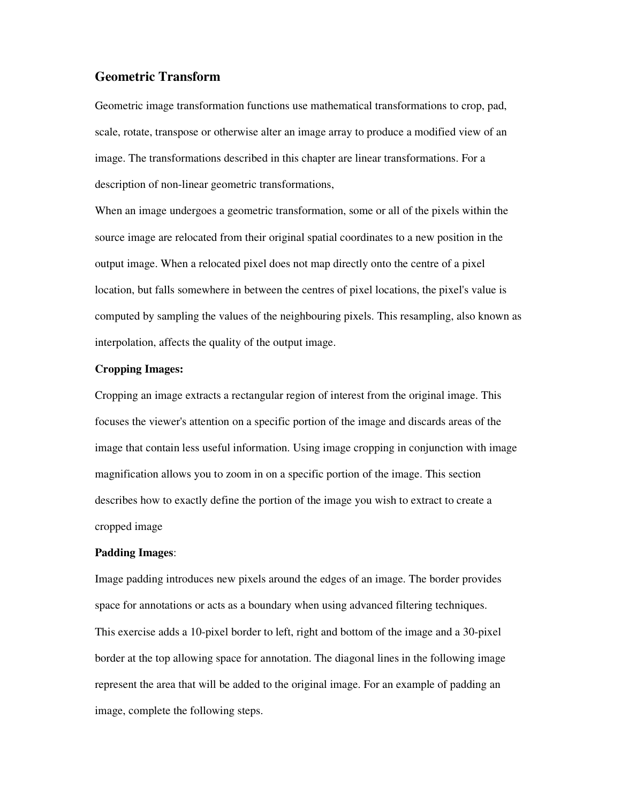### **Geometric Transform**

Geometric image transformation functions use mathematical transformations to crop, pad, scale, rotate, transpose or otherwise alter an image array to produce a modified view of an image. The transformations described in this chapter are linear transformations. For a description of non-linear geometric transformations,

When an image undergoes a geometric transformation, some or all of the pixels within the source image are relocated from their original spatial coordinates to a new position in the output image. When a relocated pixel does not map directly onto the centre of a pixel location, but falls somewhere in between the centres of pixel locations, the pixel's value is computed by sampling the values of the neighbouring pixels. This resampling, also known as interpolation, affects the quality of the output image.

#### **Cropping Images:**

Cropping an image extracts a rectangular region of interest from the original image. This focuses the viewer's attention on a specific portion of the image and discards areas of the image that contain less useful information. Using image cropping in conjunction with image magnification allows you to zoom in on a specific portion of the image. This section describes how to exactly define the portion of the image you wish to extract to create a cropped image

### **Padding Images**:

Image padding introduces new pixels around the edges of an image. The border provides space for annotations or acts as a boundary when using advanced filtering techniques. This exercise adds a 10-pixel border to left, right and bottom of the image and a 30-pixel border at the top allowing space for annotation. The diagonal lines in the following image represent the area that will be added to the original image. For an example of padding an image, complete the following steps.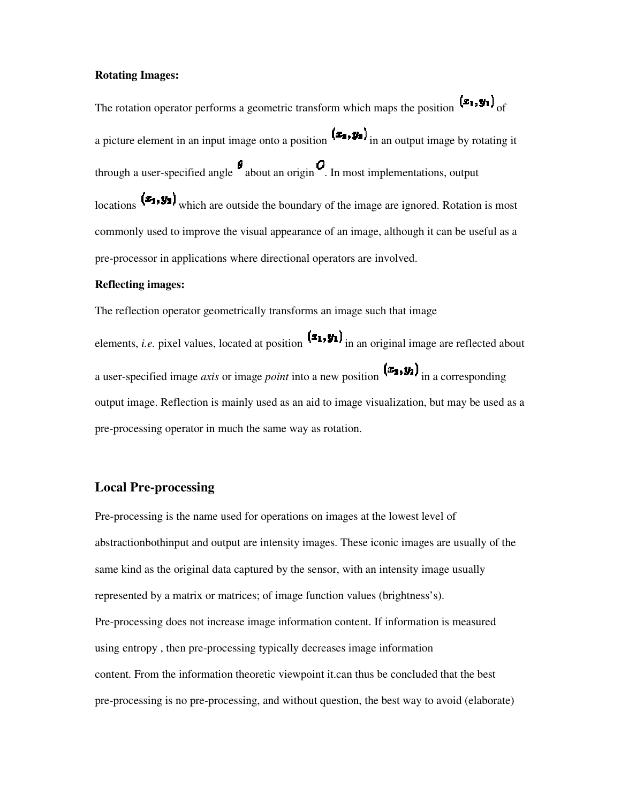#### **Rotating Images:**

The rotation operator performs a geometric transform which maps the position  $(\mathbf{z}_1, \mathbf{y}_1)$  of a picture element in an input image onto a position  $(x_1, y_1)$  in an output image by rotating it through a user-specified angle  $\theta$  about an origin  $\theta$ . In most implementations, output locations  $(x_1, y_2)$  which are outside the boundary of the image are ignored. Rotation is most commonly used to improve the visual appearance of an image, although it can be useful as a pre-processor in applications where directional operators are involved.

#### **Reflecting images:**

The reflection operator geometrically transforms an image such that image

elements, *i.e.* pixel values, located at position  $(a_1, y_1)$  in an original image are reflected about a user-specified image *axis* or image *point* into a new position  $(x_2, y_1)$  in a corresponding output image. Reflection is mainly used as an aid to image visualization, but may be used as a pre-processing operator in much the same way as rotation.

# **Local Pre-processing**

Pre-processing is the name used for operations on images at the lowest level of abstractionbothinput and output are intensity images. These iconic images are usually of the same kind as the original data captured by the sensor, with an intensity image usually represented by a matrix or matrices; of image function values (brightness's). Pre-processing does not increase image information content. If information is measured using entropy , then pre-processing typically decreases image information content. From the information theoretic viewpoint it.can thus be concluded that the best pre-processing is no pre-processing, and without question, the best way to avoid (elaborate)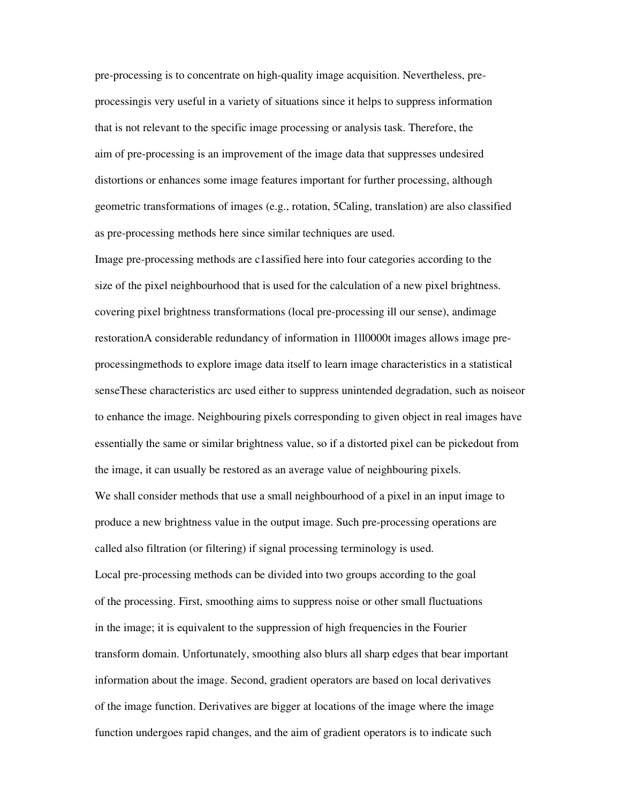pre-processing is to concentrate on high-quality image acquisition. Nevertheless, preprocessingis very useful in a variety of situations since it helps to suppress information that is not relevant to the specific image processing or analysis task. Therefore, the aim of pre-processing is an improvement of the image data that suppresses undesired distortions or enhances some image features important for further processing, although geometric transformations of images (e.g., rotation, 5Caling, translation) are also classified as pre-processing methods here since similar techniques are used.

Image pre-processing methods are c1assified here into four categories according to the size of the pixel neighbourhood that is used for the calculation of a new pixel brightness. covering pixel brightness transformations (local pre-processing ill our sense), andimage restorationA considerable redundancy of information in 1ll0000t images allows image preprocessingmethods to explore image data itself to learn image characteristics in a statistical senseThese characteristics arc used either to suppress unintended degradation, such as noiseor to enhance the image. Neighbouring pixels corresponding to given object in real images have essentially the same or similar brightness value, so if a distorted pixel can be pickedout from the image, it can usually be restored as an average value of neighbouring pixels. We shall consider methods that use a small neighbourhood of a pixel in an input image to produce a new brightness value in the output image. Such pre-processing operations are called also filtration (or filtering) if signal processing terminology is used. Local pre-processing methods can be divided into two groups according to the goal of the processing. First, smoothing aims to suppress noise or other small fluctuations in the image; it is equivalent to the suppression of high frequencies in the Fourier transform domain. Unfortunately, smoothing also blurs all sharp edges that bear important information about the image. Second, gradient operators are based on local derivatives of the image function. Derivatives are bigger at locations of the image where the image function undergoes rapid changes, and the aim of gradient operators is to indicate such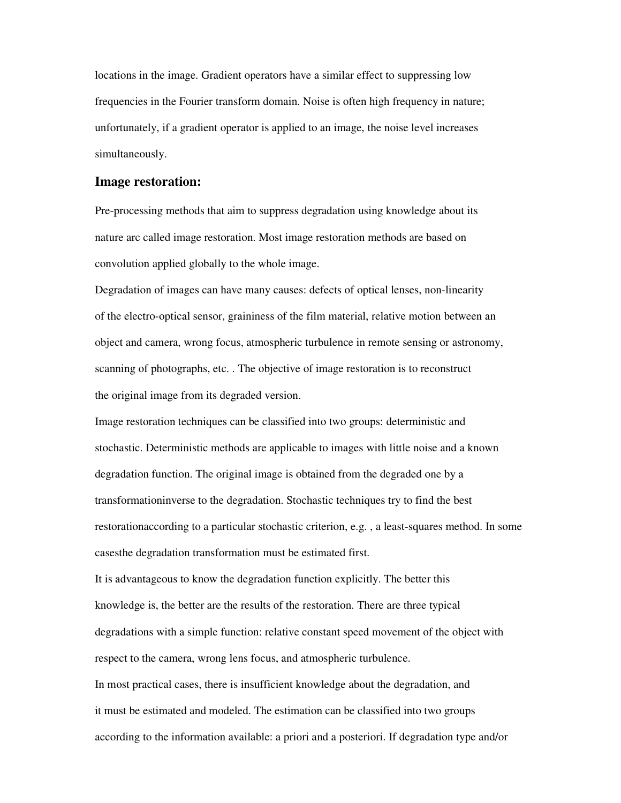locations in the image. Gradient operators have a similar effect to suppressing low frequencies in the Fourier transform domain. Noise is often high frequency in nature; unfortunately, if a gradient operator is applied to an image, the noise level increases simultaneously.

#### **Image restoration:**

Pre-processing methods that aim to suppress degradation using knowledge about its nature arc called image restoration. Most image restoration methods are based on convolution applied globally to the whole image.

Degradation of images can have many causes: defects of optical lenses, non-linearity of the electro-optical sensor, graininess of the film material, relative motion between an object and camera, wrong focus, atmospheric turbulence in remote sensing or astronomy, scanning of photographs, etc. . The objective of image restoration is to reconstruct the original image from its degraded version.

Image restoration techniques can be classified into two groups: deterministic and stochastic. Deterministic methods are applicable to images with little noise and a known degradation function. The original image is obtained from the degraded one by a transformationinverse to the degradation. Stochastic techniques try to find the best restorationaccording to a particular stochastic criterion, e.g. , a least-squares method. In some casesthe degradation transformation must be estimated first.

It is advantageous to know the degradation function explicitly. The better this knowledge is, the better are the results of the restoration. There are three typical degradations with a simple function: relative constant speed movement of the object with respect to the camera, wrong lens focus, and atmospheric turbulence.

In most practical cases, there is insufficient knowledge about the degradation, and it must be estimated and modeled. The estimation can be classified into two groups according to the information available: a priori and a posteriori. If degradation type and/or